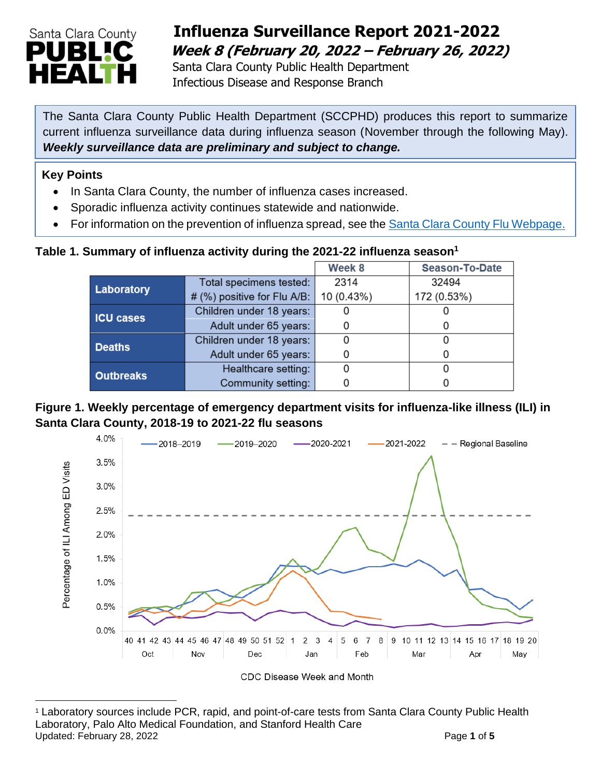

## **Influenza Surveillance Report 2021-2022 Week 8 (February 20, 2022 – February 26, 2022)**

 Santa Clara County Public Health Department Infectious Disease and Response Branch

The Santa Clara County Public Health Department (SCCPHD) produces this report to summarize current influenza surveillance data during influenza season (November through the following May). *Weekly surveillance data are preliminary and subject to change.*

#### **Key Points**

- In Santa Clara County, the number of influenza cases increased.
- Sporadic influenza activity continues statewide and nationwide.
- For information on the prevention of influenza spread, see the [Santa Clara County Flu Webpage.](https://publichealth.sccgov.org/disease-information/influenza-flu)

### **Table 1. Summary of influenza activity during the 2021-22 influenza season<sup>1</sup>**

|                  |                             | Week 8     | <b>Season-To-Date</b> |  |
|------------------|-----------------------------|------------|-----------------------|--|
| Laboratory       | Total specimens tested:     | 2314       | 32494                 |  |
|                  | # (%) positive for Flu A/B: | 10 (0.43%) | 172 (0.53%)           |  |
| <b>ICU cases</b> | Children under 18 years:    |            |                       |  |
|                  | Adult under 65 years:       |            |                       |  |
| <b>Deaths</b>    | Children under 18 years:    |            |                       |  |
|                  | Adult under 65 years:       |            |                       |  |
| <b>Outbreaks</b> | Healthcare setting:         |            |                       |  |
|                  | Community setting:          |            |                       |  |

#### **Figure 1. Weekly percentage of emergency department visits for influenza-like illness (ILI) in Santa Clara County, 2018-19 to 2021-22 flu seasons**



<sup>1</sup> Laboratory sources include PCR, rapid, and point-of-care tests from Santa Clara County Public Health Laboratory, Palo Alto Medical Foundation, and Stanford Health Care Updated: February 28, 2022 **Page 1** of 5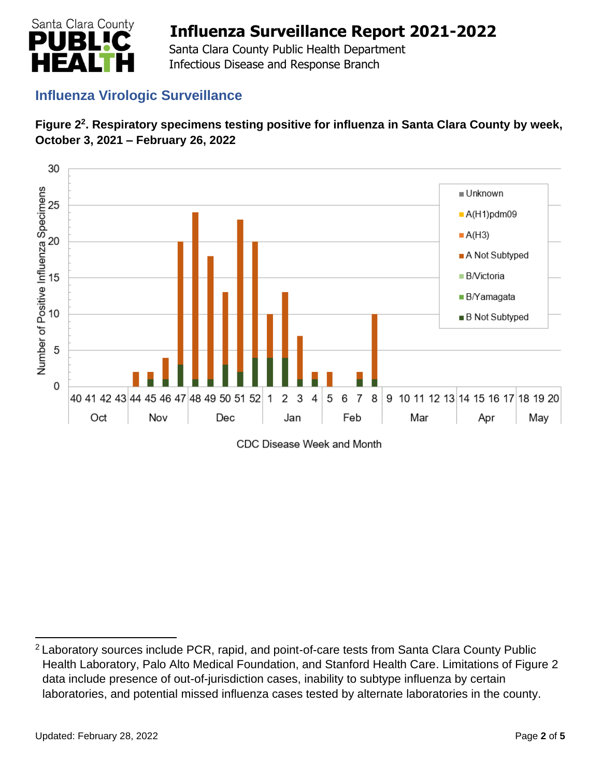

 Santa Clara County Public Health Department Infectious Disease and Response Branch

## **Influenza Virologic Surveillance**





CDC Disease Week and Month

<sup>&</sup>lt;sup>2</sup> Laboratory sources include PCR, rapid, and point-of-care tests from Santa Clara County Public Health Laboratory, Palo Alto Medical Foundation, and Stanford Health Care. Limitations of Figure 2 data include presence of out-of-jurisdiction cases, inability to subtype influenza by certain laboratories, and potential missed influenza cases tested by alternate laboratories in the county.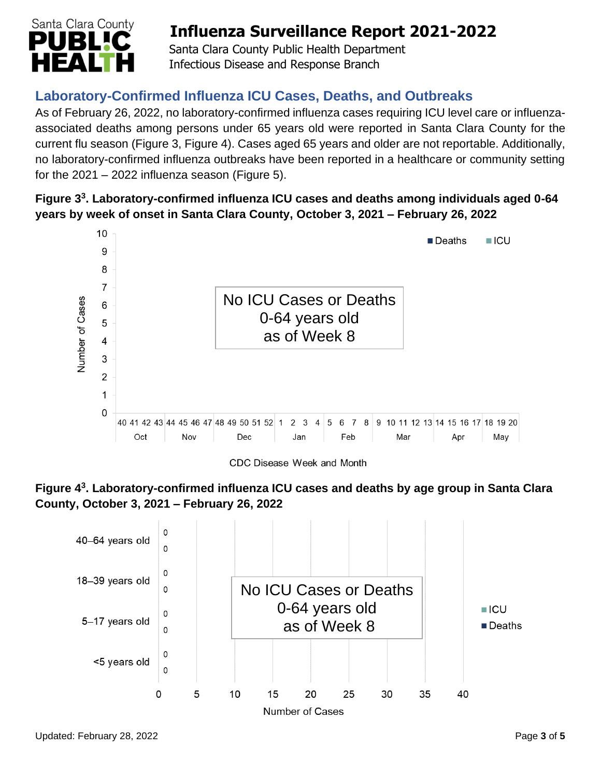

 Santa Clara County Public Health Department Infectious Disease and Response Branch

## **Laboratory-Confirmed Influenza ICU Cases, Deaths, and Outbreaks**

As of February 26, 2022, no laboratory-confirmed influenza cases requiring ICU level care or influenzaassociated deaths among persons under 65 years old were reported in Santa Clara County for the current flu season (Figure 3, Figure 4). Cases aged 65 years and older are not reportable. Additionally, no laboratory-confirmed influenza outbreaks have been reported in a healthcare or community setting for the  $2021 - 2022$  influenza season (Figure 5).

### **Figure 3 3 . Laboratory-confirmed influenza ICU cases and deaths among individuals aged 0-64 years by week of onset in Santa Clara County, October 3, 2021 – February 26, 2022**



CDC Disease Week and Month



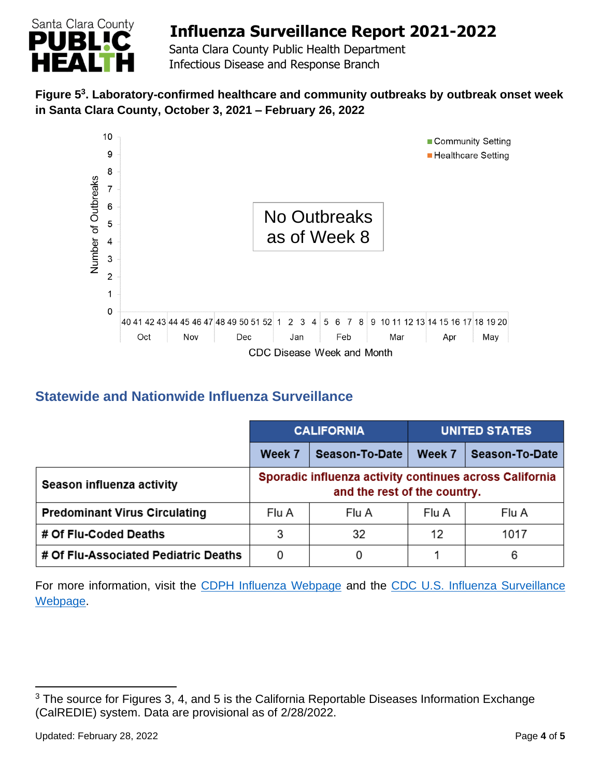

 Santa Clara County Public Health Department Infectious Disease and Response Branch

### **Figure 5 3 . Laboratory-confirmed healthcare and community outbreaks by outbreak onset week in Santa Clara County, October 3, 2021 – February 26, 2022**



## **Statewide and Nationwide Influenza Surveillance**

|                                      | <b>CALIFORNIA</b> |                                                                                         | <b>UNITED STATES</b> |                |
|--------------------------------------|-------------------|-----------------------------------------------------------------------------------------|----------------------|----------------|
|                                      | Week 7            | Season-To-Date                                                                          | Week 7               | Season-To-Date |
| Season influenza activity            |                   | Sporadic influenza activity continues across California<br>and the rest of the country. |                      |                |
| <b>Predominant Virus Circulating</b> | Flu A             | Flu A                                                                                   | Flu A                | Flu A          |
| # Of Flu-Coded Deaths                | 3                 | 32                                                                                      | 12                   | 1017           |
| # Of Flu-Associated Pediatric Deaths | 0                 | 0                                                                                       |                      | 6              |

For more information, visit the [CDPH Influenza Webpage](http://www.cdph.ca.gov/Programs/CID/DCDC/Pages/Immunization/Influenza.aspx) and the [CDC U.S. Influenza Surveillance](http://www.cdc.gov/flu/weekly/)  [Webpage.](http://www.cdc.gov/flu/weekly/)

 $3$  The source for Figures 3, 4, and 5 is the California Reportable Diseases Information Exchange (CalREDIE) system. Data are provisional as of 2/28/2022.